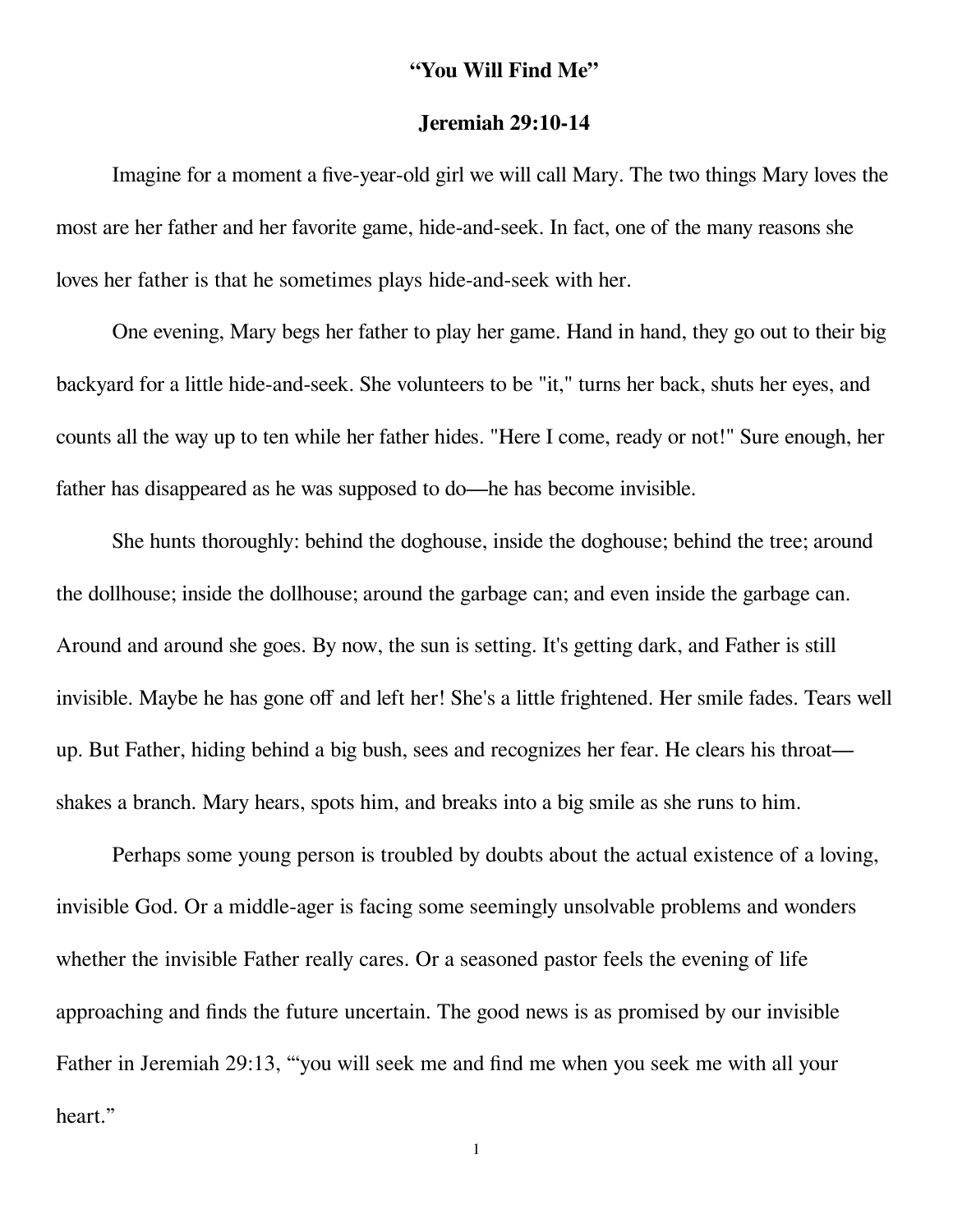## **"You Will Find Me"**

## **Jeremiah 29:10-14**

Imagine for a moment a five-year-old girl we will call Mary. The two things Mary loves the most are her father and her favorite game, hide-and-seek. In fact, one of the many reasons she loves her father is that he sometimes plays hide-and-seek with her.

One evening, Mary begs her father to play her game. Hand in hand, they go out to their big backyard for a little hide-and-seek. She volunteers to be "it," turns her back, shuts her eyes, and counts all the way up to ten while her father hides. "Here I come, ready or not!" Sure enough, her father has disappeared as he was supposed to do—he has become invisible.

She hunts thoroughly: behind the doghouse, inside the doghouse; behind the tree; around the dollhouse; inside the dollhouse; around the garbage can; and even inside the garbage can. Around and around she goes. By now, the sun is setting. It's getting dark, and Father is still invisible. Maybe he has gone off and left her! She's a little frightened. Her smile fades. Tears well up. But Father, hiding behind a big bush, sees and recognizes her fear. He clears his throat shakes a branch. Mary hears, spots him, and breaks into a big smile as she runs to him.

Perhaps some young person is troubled by doubts about the actual existence of a loving, invisible God. Or a middle-ager is facing some seemingly unsolvable problems and wonders whether the invisible Father really cares. Or a seasoned pastor feels the evening of life approaching and finds the future uncertain. The good news is as promised by our invisible Father in Jeremiah 29:13, "'you will seek me and find me when you seek me with all your heart."

1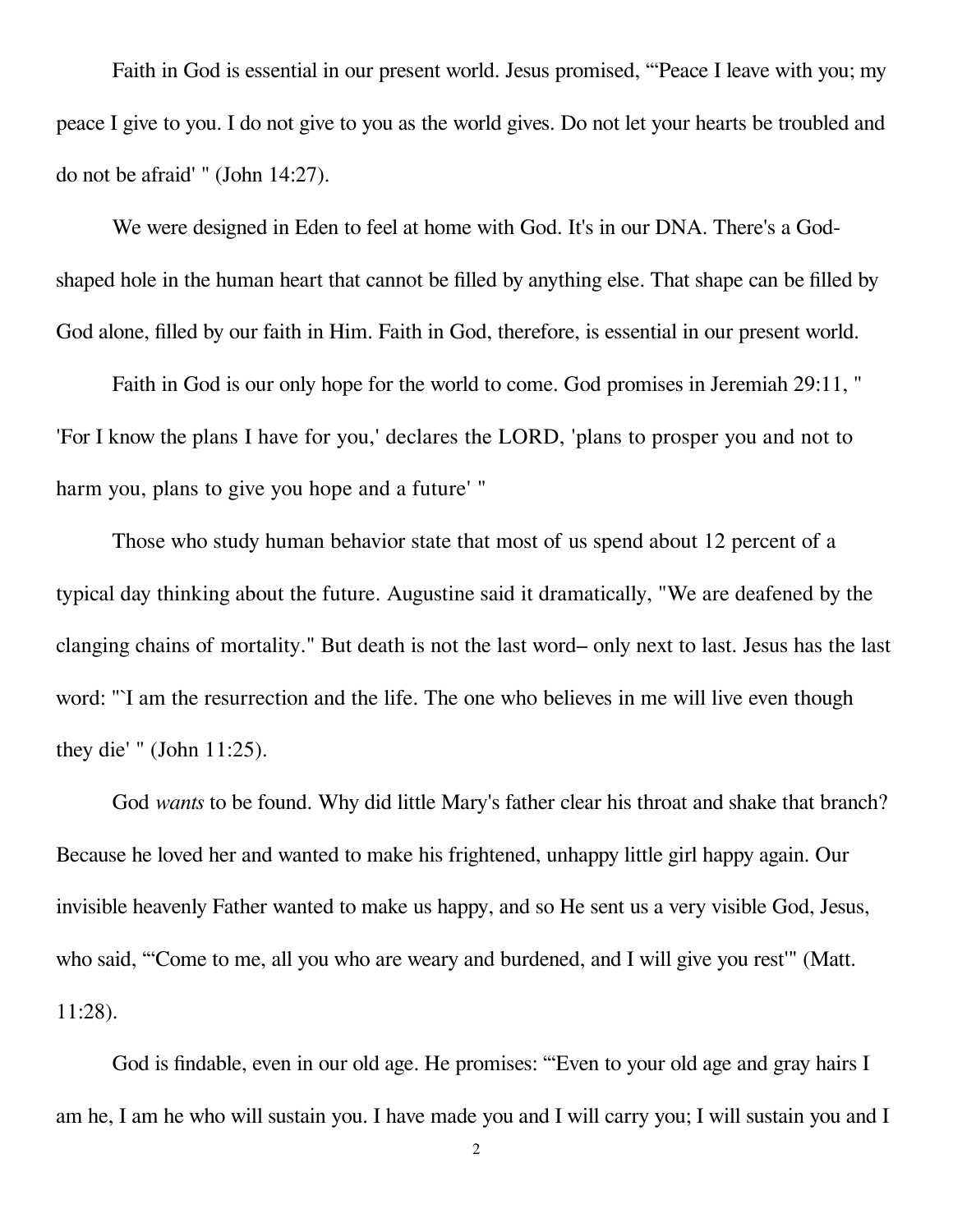Faith in God is essential in our present world. Jesus promised, "'Peace I leave with you; my peace I give to you. I do not give to you as the world gives. Do not let your hearts be troubled and do not be afraid' " (John 14:27).

We were designed in Eden to feel at home with God. It's in our DNA. There's a Godshaped hole in the human heart that cannot be filled by anything else. That shape can be filled by God alone, filled by our faith in Him. Faith in God, therefore, is essential in our present world.

Faith in God is our only hope for the world to come. God promises in Jeremiah 29:11, " 'For I know the plans I have for you,' declares the LORD, 'plans to prosper you and not to harm you, plans to give you hope and a future' "

Those who study human behavior state that most of us spend about 12 percent of a typical day thinking about the future. Augustine said it dramatically, "We are deafened by the clanging chains of mortality." But death is not the last word– only next to last. Jesus has the last word: "<sup>'</sup>I am the resurrection and the life. The one who believes in me will live even though they die' " (John 11:25).

God *wants* to be found. Why did little Mary's father clear his throat and shake that branch? Because he loved her and wanted to make his frightened, unhappy little girl happy again. Our invisible heavenly Father wanted to make us happy, and so He sent us a very visible God, Jesus, who said, "Come to me, all you who are weary and burdened, and I will give you rest" (Matt. 11:28).

God is findable, even in our old age. He promises: "'Even to your old age and gray hairs I am he, I am he who will sustain you. I have made you and I will carry you; I will sustain you and I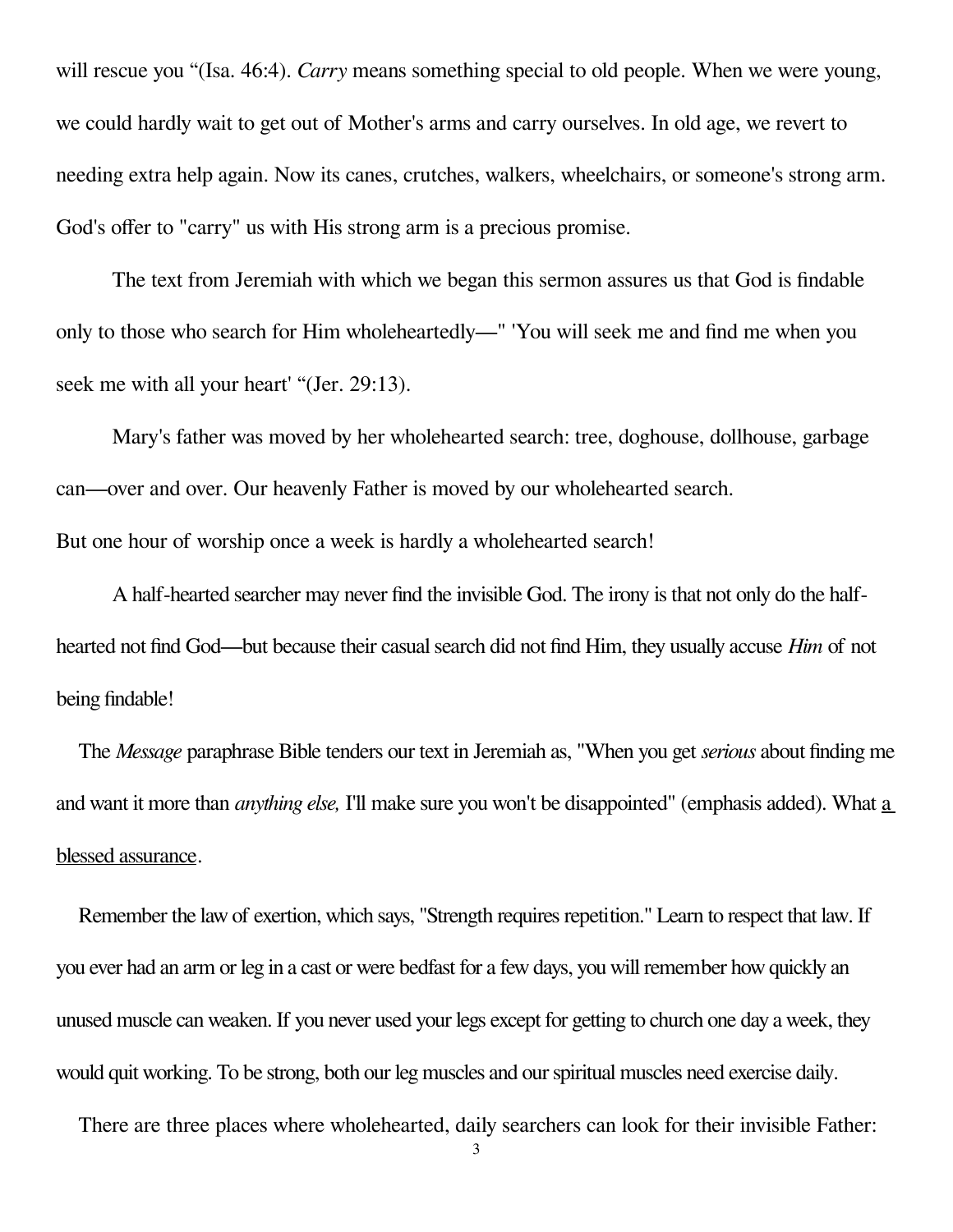will rescue you "(Isa. 46:4). *Carry* means something special to old people. When we were young, we could hardly wait to get out of Mother's arms and carry ourselves. In old age, we revert to needing extra help again. Now its canes, crutches, walkers, wheelchairs, or someone's strong arm. God's offer to "carry" us with His strong arm is a precious promise.

The text from Jeremiah with which we began this sermon assures us that God is findable only to those who search for Him wholeheartedly—" 'You will seek me and find me when you seek me with all your heart' "(Jer. 29:13).

Mary's father was moved by her wholehearted search: tree, doghouse, dollhouse, garbage can—over and over. Our heavenly Father is moved by our wholehearted search. But one hour of worship once a week is hardly a wholehearted search!

A half-hearted searcher may never find the invisible God. The irony is that not only do the halfhearted not find God—but because their casual search did not find Him, they usually accuse *Him* of not being findable!

The *Message* paraphrase Bible tenders our text in Jeremiah as, "When you get *serious* about finding me and want it more than *anything else,* I'll make sure you won't be disappointed" (emphasis added). What a blessed assurance.

Remember the law of exertion, which says, "Strength requires repetition." Learn to respect that law. If you ever had an arm or leg in a cast or were bedfast for a few days, you will remember how quickly an unused muscle can weaken. If you never used your legs except for getting to church one day a week, they would quit working. To be strong, both our leg muscles and our spiritual muscles need exercise daily.

There are three places where wholehearted, daily searchers can look for their invisible Father:

3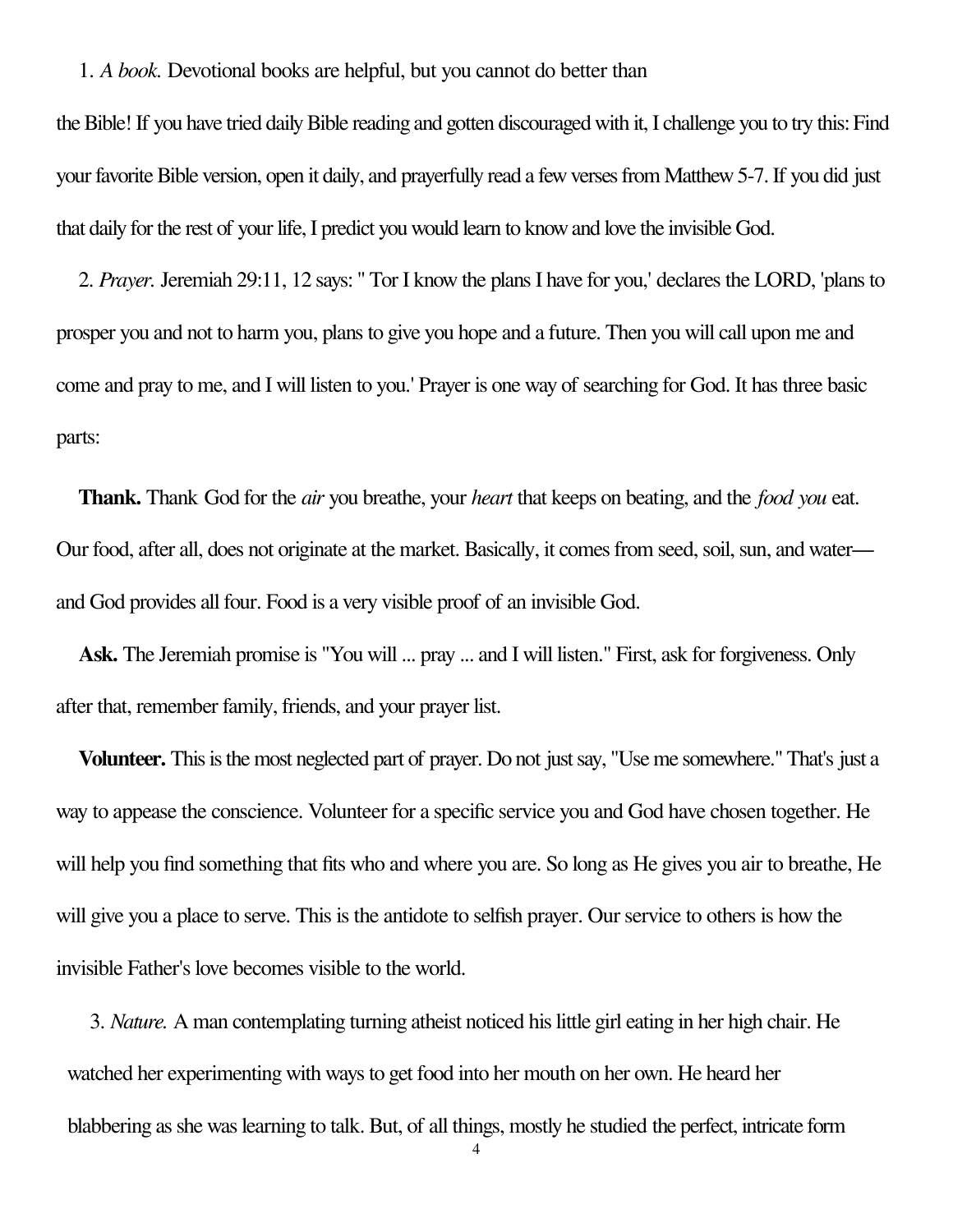## 1. *A book.* Devotional books are helpful, but you cannot do better than

the Bible! If you have tried daily Bible reading and gotten discouraged with it, I challenge you to try this: Find your favorite Bible version, open it daily, and prayerfully read a few verses from Matthew 5-7. If you did just that daily for the rest of your life, I predict you would learn to know and love the invisible God.

2. *Prayer.* Jeremiah 29:11, 12 says: " Tor I know the plans I have for you,' declares the LORD, 'plans to prosper you and not to harm you, plans to give you hope and a future. Then you will call upon me and come and pray to me, and I will listen to you.' Prayer is one way of searching for God. It has three basic parts:

**Thank.** Thank God for the *air* you breathe, your *heart* that keeps on beating, and the *food you* eat. Our food, after all, does not originate at the market. Basically, it comes from seed, soil, sun, and water and God provides all four. Food is a very visible proof of an invisible God.

**Ask.** The Jeremiah promise is "You will ... pray ... and I will listen." First, ask for forgiveness. Only after that, remember family, friends, and your prayer list.

**Volunteer.** This is the most neglected part of prayer. Do not just say, "Use me somewhere." That's just a way to appease the conscience. Volunteer for a specific service you and God have chosen together. He will help you find something that fits who and where you are. So long as He gives you air to breathe, He will give you a place to serve. This is the antidote to selfish prayer. Our service to others is how the invisible Father's love becomes visible to the world.

3. *Nature.* A man contemplating turning atheist noticed his little girl eating in her high chair. He watched her experimenting with ways to get food into her mouth on her own. He heard her blabbering as she was learning to talk. But, of all things, mostly he studied the perfect, intricate form